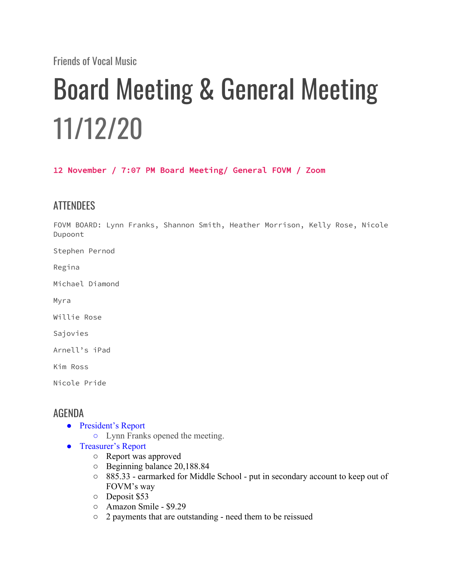Friends of Vocal Music

## Board Meeting & General Meeting 11/12/20

12 November / 7:07 PM Board Meeting/ General FOVM / Zoom

## **ATTENDEES**

FOVM BOARD: Lynn Franks, Shannon Smith, Heather Morrison, Kelly Rose, Nicole Dupoont

Stephen Pernod

Regina

Michael Diamond

Myra

Willie Rose

Sajovies

Arnell's iPad

Kim Ross

Nicole Pride

## AGENDA

- President's Report
	- Lynn Franks opened the meeting.
- Treasurer's Report
	- Report was approved
	- Beginning balance 20,188.84
	- 885.33 earmarked for Middle School put in secondary account to keep out of FOVM's way
	- Deposit \$53
	- Amazon Smile \$9.29
	- 2 payments that are outstanding need them to be reissued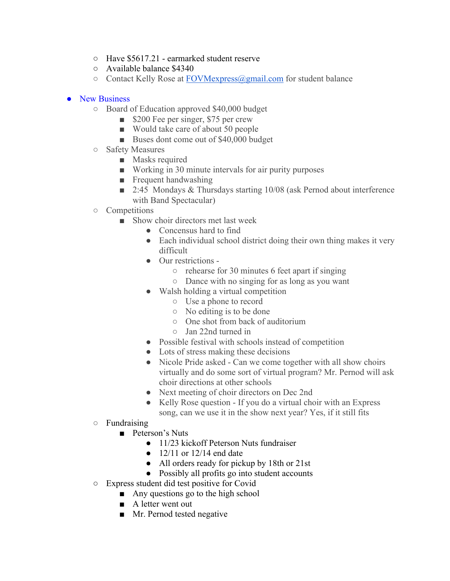- Have \$5617.21 earmarked student reserve
- Available balance \$4340
- $\circ$  Contact Kelly Rose at FOVMexpress (algmail.com for student balance

## ● New Business

- Board of Education approved \$40,000 budget
	- \$200 Fee per singer, \$75 per crew
	- Would take care of about 50 people
	- Buses dont come out of \$40,000 budget
- Safety Measures
	- Masks required
	- Working in 30 minute intervals for air purity purposes
	- Frequent handwashing
	- 2:45 Mondays & Thursdays starting 10/08 (ask Pernod about interference with Band Spectacular)
- Competitions
	- Show choir directors met last week
		- Concensus hard to find
		- Each individual school district doing their own thing makes it very difficult
		- Our restrictions -
			- $\circ$  rehearse for 30 minutes 6 feet apart if singing
			- Dance with no singing for as long as you want
		- Walsh holding a virtual competition
			- Use a phone to record
			- No editing is to be done
			- One shot from back of auditorium
			- Jan 22nd turned in
		- Possible festival with schools instead of competition
		- Lots of stress making these decisions
		- Nicole Pride asked Can we come together with all show choirs virtually and do some sort of virtual program? Mr. Pernod will ask choir directions at other schools
		- Next meeting of choir directors on Dec 2nd
		- Kelly Rose question If you do a virtual choir with an Express song, can we use it in the show next year? Yes, if it still fits
- Fundraising
	- Peterson's Nuts
		- 11/23 kickoff Peterson Nuts fundraiser
		- $\bullet$  12/11 or 12/14 end date
		- All orders ready for pickup by 18th or 21st
		- Possibly all profits go into student accounts
- Express student did test positive for Covid
	- Any questions go to the high school
		- A letter went out
		- Mr. Pernod tested negative